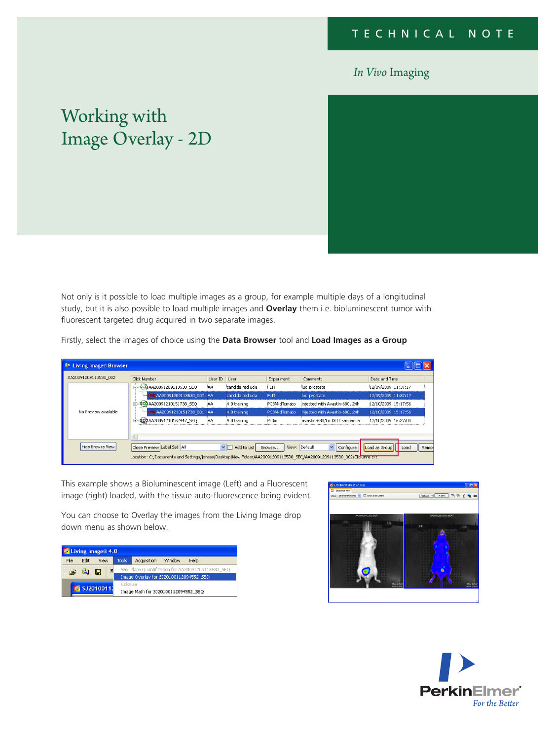## *In Vivo* Imaging

## Working with Image Overlay - 2D

Not only is it possible to load multiple images as a group, for example multiple days of a longitudinal study, but it is also possible to load multiple images and **Overlay** them i.e. bioluminescent tumor with fluorescent targeted drug acquired in two separate images.

Firstly, select the images of choice using the **Data Browser** tool and **Load Images as a Group**

| <b>Et Living Image &amp; Browser</b>                                                                                  |                               |                |                           |               |                                            |                               |  |  |
|-----------------------------------------------------------------------------------------------------------------------|-------------------------------|----------------|---------------------------|---------------|--------------------------------------------|-------------------------------|--|--|
| AA20091209113530 002                                                                                                  | Click Number                  | User ID User   |                           | Experiment    | Comment1                                   | Date and Time                 |  |  |
| No Preview available                                                                                                  | FEQ AA20091209113530 SEQ<br>e | iΑA            | candida red ucla          | <b>FLIT</b>   | luc prostate                               | 12/09/2009 11:37:17           |  |  |
|                                                                                                                       | MEAA20091209113530 002 AA     |                | candida red ucla          | <b>FLIT</b>   | luc prostate                               | 12/09/2009 11:37:17           |  |  |
|                                                                                                                       | EQAA20091210151738_SEQ        | AA             | 4.0 training              | PC3M-dTomato  | iniected with Avastin-680, 24h             | 12/10/2009 15:17:56           |  |  |
|                                                                                                                       | IMC AA20091210151738 001      | <b>AA</b>      | 4.0 training              | PC3M-dTomato, | injected with Avastin-680, 24h             | 12/10/2009 15:17:56           |  |  |
|                                                                                                                       | EQAA20091210162447_SEQ<br>Ĥ.  | $\Delta\Delta$ | 4.0 training              | Pc3m          | javastin-680/luc DLIT sequence             | 12/10/2009 16:27:00           |  |  |
|                                                                                                                       |                               |                |                           |               |                                            |                               |  |  |
| Hide Browse View                                                                                                      | Close Preview Label Set: All  |                | $\vee$ $\Box$ Add to List | Browse        | View: Default<br>Configure<br>$\checkmark$ | Load as Group<br>Load<br>Remo |  |  |
| Location: C:/Documents and Settings/joness/Desktop/New Folder/AA20091209113530 SEO/AA20091209113530 002/ClickInfo.exc |                               |                |                           |               |                                            |                               |  |  |

This example shows a Bioluminescent image (Left) and a Fluorescent image (right) loaded, with the tissue auto-fluorescence being evident.

You can choose to Overlay the images from the Living Image drop down menu as shown below.

| Living Image® 4.0 |      |          |                                                    |                                     |        |      |  |  |  |
|-------------------|------|----------|----------------------------------------------------|-------------------------------------|--------|------|--|--|--|
| File              | Edit | View     | <b>Tools</b>                                       | Acquisition                         | Window | Help |  |  |  |
| Ê<br>目<br>Q H     |      |          | Well Plate Quantification for AA20091209113530 SEQ |                                     |        |      |  |  |  |
|                   |      |          | Image Overlay for SJ20100112094552_SEQ             |                                     |        |      |  |  |  |
| SJ20100112        |      | Colorize |                                                    |                                     |        |      |  |  |  |
|                   |      |          |                                                    | Image Math for 5J20100112094552 SEQ |        |      |  |  |  |